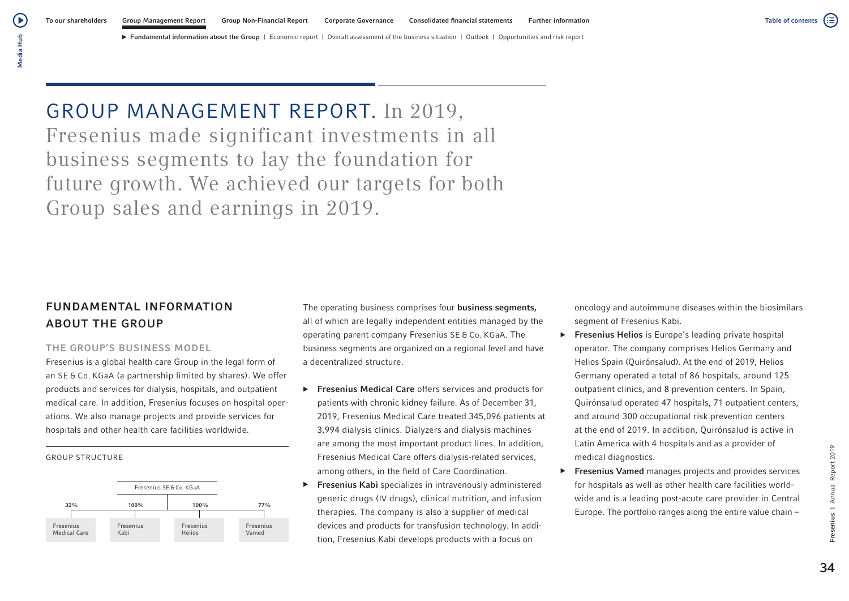# GROUP MANAGEMENT REPORT. In 2019, Fresenius made significant investments in all business segments to lay the foundation for future growth. We achieved our targets for both Group sales and earnings in 2019.

# FUNDAMENTAL INFORMATION ABOUT THE GROUP

# THE GROUP'S BUSINESS MODEL

Fresenius is a global health care Group in the legal form of an SE & Co. KGaA (a partnership limited by shares). We offer products and services for dialysis, hospitals, and outpatient medical care. In addition, Fresenius focuses on hospital operations. We also manage projects and provide services for hospitals and other health care facilities worldwide.

GROUP STRUCTURE



The operating business comprises four business segments, all of which are legally independent entities managed by the operating parent company Fresenius SE & Co. KGaA. The business segments are organized on a regional level and have a decentralized structure.

- ▶ Fresenius Medical Care offers services and products for patients with chronic kidney failure. As of December 31, 2019, Fresenius Medical Care treated 345,096 patients at 3,994 dialysis clinics. Dialyzers and dialysis machines are among the most important product lines. In addition, Fresenius Medical Care offers dialysis-related services, among others, in the field of Care Coordination.
- ▶ Fresenius Kabi specializes in intravenously administered generic drugs (IV drugs), clinical nutrition, and infusion therapies. The company is also a supplier of medical devices and products for transfusion technology. In addition, Fresenius Kabi develops products with a focus on

oncology and autoimmune diseases within the biosimilars segment of Fresenius Kabi.

- ▶ Fresenius Helios is Europe's leading private hospital operator. The company comprises Helios Germany and Helios Spain (Quirónsalud). At the end of 2019, Helios Germany operated a total of 86 hospitals, around 125 outpatient clinics, and 8 prevention centers. In Spain, Quirónsalud operated 47 hospitals, 71 outpatient centers, and around 300 occupational risk prevention centers at the end of 2019. In addition, Quirónsalud is active in Latin America with 4 hospitals and as a provider of medical diagnostics.
- ▶ Fresenius Vamed manages projects and provides services for hospitals as well as other health care facilities worldwide and is a leading post-acute care provider in Central Europe. The portfolio ranges along the entire value chain –

(≔)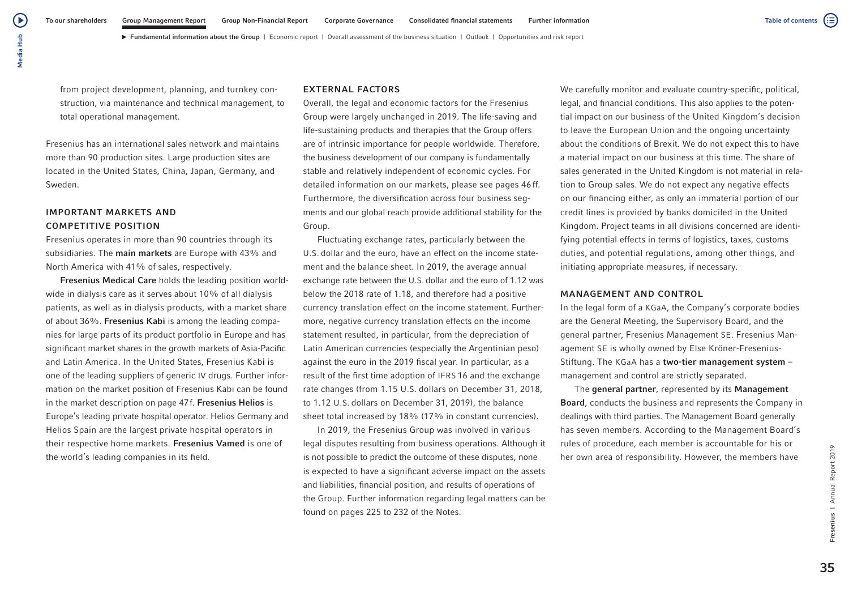from project development, planning, and turnkey construction, via maintenance and technical management, to total operational management.

Fresenius has an international sales network and maintains more than 90 production sites. Large production sites are located in the United States, China, Japan, Germany, and Sweden.

# IMPORTANT MARKETS AND COMPETITIVE POSITION

Fresenius operates in more than 90 countries through its subsidiaries. The main markets are Europe with 43% and North America with 41% of sales, respectively.

Fresenius Medical Care holds the leading position worldwide in dialysis care as it serves about 10% of all dialysis patients, as well as in dialysis products, with a market share of about 36%. Fresenius Kabi is among the leading companies for large parts of its product portfolio in Europe and has significant market shares in the growth markets of Asia-Pacific and Latin America. In the United States, Fresenius Kabi is one of the leading suppliers of generic IV drugs. Further information on the market position of Fresenius Kabi can be found in the market description on page 47f. Fresenius Helios is Europe's leading private hospital operator. Helios Germany and Helios Spain are the largest private hospital operators in their respective home markets. Fresenius Vamed is one of the world's leading companies in its field.

## EXTERNAL FACTORS

Overall, the legal and economic factors for the Fresenius Group were largely unchanged in 2019. The life-saving and life-sustaining products and therapies that the Group offers are of intrinsic importance for people worldwide. Therefore, the business development of our company is fundamentally stable and relatively independent of economic cycles. For detailed information on our markets, please see pages 46ff. Furthermore, the diversification across four business segments and our global reach provide additional stability for the Group.

Fluctuating exchange rates, particularly between the U.S. dollar and the euro, have an effect on the income statement and the balance sheet. In 2019, the average annual exchange rate between the U.S. dollar and the euro of 1.12 was below the 2018 rate of 1.18, and therefore had a positive currency translation effect on the income statement. Furthermore, negative currency translation effects on the income statement resulted, in particular, from the depreciation of Latin American currencies (especially the Argentinian peso) against the euro in the 2019 fiscal year. In particular, as a result of the first time adoption of IFRS 16 and the exchange rate changes (from 1.15 U.S. dollars on December 31, 2018, to 1.12 U.S. dollars on December 31, 2019), the balance sheet total increased by 18% (17% in constant currencies).

In 2019, the Fresenius Group was involved in various legal disputes resulting from business operations. Although it is not possible to predict the outcome of these disputes, none is expected to have a significant adverse impact on the assets and liabilities, financial position, and results of operations of the Group. Further information regarding legal matters can be found on pages 225 to 232 of the Notes.

We carefully monitor and evaluate country-specific, political, legal, and financial conditions. This also applies to the potential impact on our business of the United Kingdom's decision to leave the European Union and the ongoing uncertainty about the conditions of Brexit. We do not expect this to have a material impact on our business at this time. The share of sales generated in the United Kingdom is not material in relation to Group sales. We do not expect any negative effects on our financing either, as only an immaterial portion of our credit lines is provided by banks domiciled in the United Kingdom. Project teams in all divisions concerned are identifying potential effects in terms of logistics, taxes, customs duties, and potential regulations, among other things, and initiating appropriate measures, if necessary.

## MANAGEMENT AND CONTROL

In the legal form of a KGaA, the Company's corporate bodies are the General Meeting, the Supervisory Board, and the general partner, Fresenius Management SE. Fresenius Management SE is wholly owned by Else Kröner-Fresenius-Stiftung. The KGaA has a two-tier management system – management and control are strictly separated.

The general partner, represented by its Management Board, conducts the business and represents the Company in dealings with third parties. The Management Board generally has seven members. According to the Management Board's rules of procedure, each member is accountable for his or her own area of responsibility. However, the members have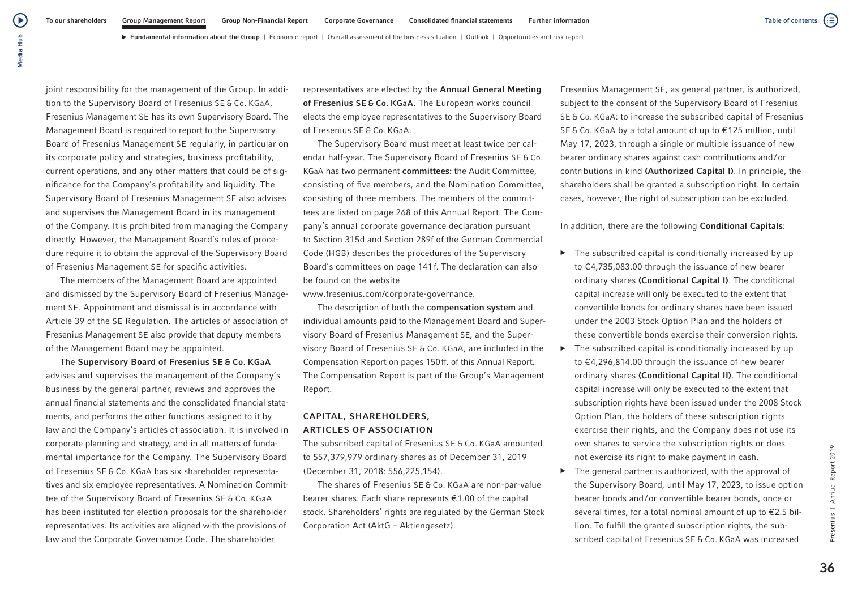► Fundamental information about the Group | Economic report | Overall assessment of the business situation | Outlook | Opportunities and risk report

joint responsibility for the management of the Group. In addition to the Supervisory Board of Fresenius SE & Co. KGaA, Fresenius Management SE has its own Supervisory Board. The Management Board is required to report to the Supervisory Board of Fresenius Management SE regularly, in particular on its corporate policy and strategies, business profitability, current operations, and any other matters that could be of significance for the Company's profitability and liquidity. The Supervisory Board of Fresenius Management SE also advises and supervises the Management Board in its management of the Company. It is prohibited from managing the Company directly. However, the Management Board's rules of procedure require it to obtain the approval of the Supervisory Board of Fresenius Management SE for specific activities.

The members of the Management Board are appointed and dismissed by the Supervisory Board of Fresenius Management SE. Appointment and dismissal is in accordance with Article 39 of the SE Regulation. The articles of association of Fresenius Management SE also provide that deputy members of the Management Board may be appointed.

The Supervisory Board of Fresenius SE & Co. KGaA advises and supervises the management of the Company's business by the general partner, reviews and approves the annual financial statements and the consolidated financial statements, and performs the other functions assigned to it by law and the Company's articles of association. It is involved in corporate planning and strategy, and in all matters of fundamental importance for the Company. The Supervisory Board of Fresenius SE & Co. KGaA has six shareholder representatives and six employee representatives. A Nomination Committee of the Supervisory Board of Fresenius SE & Co. KGaA has been instituted for election proposals for the shareholder representatives. Its activities are aligned with the provisions of law and the Corporate Governance Code. The shareholder

representatives are elected by the Annual General Meeting of Fresenius SE & Co. KGaA. The European works council elects the employee representatives to the Supervisory Board of Fresenius SE & Co. KGaA.

The Supervisory Board must meet at least twice per calendar half-year. The Supervisory Board of Fresenius SE & Co. KGaA has two permanent committees: the Audit Committee, consisting of five members, and the Nomination Committee, consisting of three members. The members of the committees are listed on page 268 of this Annual Report. The Company's annual corporate governance declaration pursuant to Section 315d and Section 289f of the German Commercial Code (HGB) describes the procedures of the Supervisory Board's committees on page 141f. The declaration can also be found on the website

www.fresenius.com/corporate-governance.

The description of both the compensation system and individual amounts paid to the Management Board and Supervisory Board of Fresenius Management SE, and the Supervisory Board of Fresenius SE & Co. KGaA, are included in the Compensation Report on pages 150ff. of this Annual Report. The Compensation Report is part of the Group's Management Report.

# CAPITAL, SHAREHOLDERS, ARTICLES OF ASSOCIATION

The subscribed capital of Fresenius SE & Co. KGaA amounted to 557,379,979 ordinary shares as of December 31, 2019 (December 31, 2018: 556,225,154).

The shares of Fresenius SE & Co. KGaA are non-par-value bearer shares. Each share represents €1.00 of the capital stock. Shareholders' rights are regulated by the German Stock Corporation Act (AktG – Aktiengesetz).

Fresenius Management SE, as general partner, is authorized, subject to the consent of the Supervisory Board of Fresenius SE & Co. KGaA: to increase the subscribed capital of Fresenius SE & Co. KGaA by a total amount of up to €125 million, until May 17, 2023, through a single or multiple issuance of new bearer ordinary shares against cash contributions and/or contributions in kind (Authorized Capital I). In principle, the shareholders shall be granted a subscription right. In certain cases, however, the right of subscription can be excluded.

In addition, there are the following Conditional Capitals:

- $\triangleright$  The subscribed capital is conditionally increased by up to €4,735,083.00 through the issuance of new bearer ordinary shares (Conditional Capital I). The conditional capital increase will only be executed to the extent that convertible bonds for ordinary shares have been issued under the 2003 Stock Option Plan and the holders of these convertible bonds exercise their conversion rights.
- $\blacktriangleright$  The subscribed capital is conditionally increased by up to €4,296,814.00 through the issuance of new bearer ordinary shares (Conditional Capital II). The conditional capital increase will only be executed to the extent that subscription rights have been issued under the 2008 Stock Option Plan, the holders of these subscription rights exercise their rights, and the Company does not use its own shares to service the subscription rights or does not exercise its right to make payment in cash.
- ▶ The general partner is authorized, with the approval of the Supervisory Board, until May 17, 2023, to issue option bearer bonds and/or convertible bearer bonds, once or several times, for a total nominal amount of up to €2.5 billion. To fulfill the granted subscription rights, the subscribed capital of Fresenius SE & Co. KGaA was increased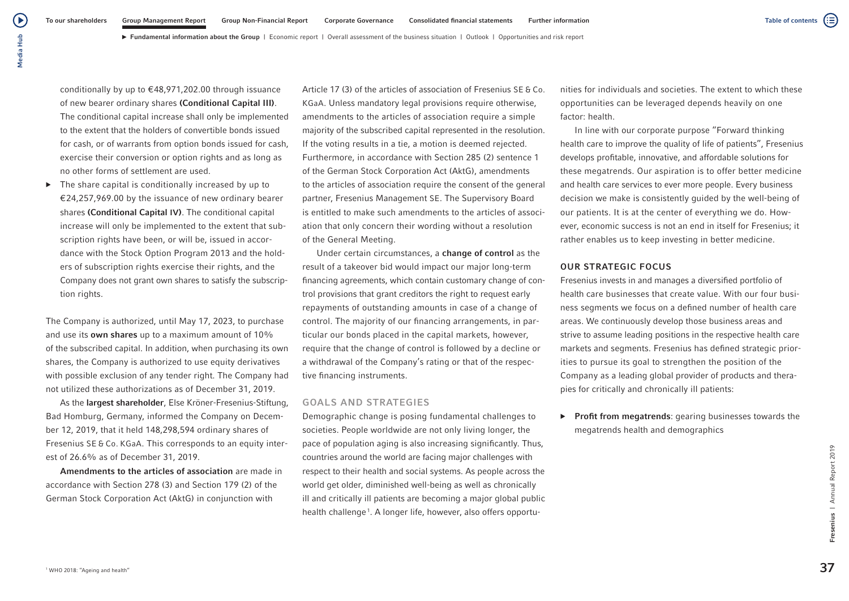► Fundamental information about the Group | Economic report | Overall assessment of the business situation | Outlook | Opportunities and risk report

(▶ Media Hub Media Hub

> conditionally by up to €48,971,202.00 through issuance of new bearer ordinary shares (Conditional Capital III). The conditional capital increase shall only be implemented to the extent that the holders of convertible bonds issued for cash, or of warrants from option bonds issued for cash, exercise their conversion or option rights and as long as no other forms of settlement are used.

 $\triangleright$  The share capital is conditionally increased by up to €24,257,969.00 by the issuance of new ordinary bearer shares (Conditional Capital IV). The conditional capital increase will only be implemented to the extent that subscription rights have been, or will be, issued in accordance with the Stock Option Program 2013 and the holders of subscription rights exercise their rights, and the Company does not grant own shares to satisfy the subscription rights.

The Company is authorized, until May 17, 2023, to purchase and use its own shares up to a maximum amount of 10% of the subscribed capital. In addition, when purchasing its own shares, the Company is authorized to use equity derivatives with possible exclusion of any tender right. The Company had not utilized these authorizations as of December 31, 2019.

As the largest shareholder, Else Kröner-Fresenius-Stiftung, Bad Homburg, Germany, informed the Company on December 12, 2019, that it held 148,298,594 ordinary shares of Fresenius SE & Co. KGaA. This corresponds to an equity interest of 26.6% as of December 31, 2019.

Amendments to the articles of association are made in accordance with Section 278 (3) and Section 179 (2) of the German Stock Corporation Act (AktG) in conjunction with

Article 17 (3) of the articles of association of Fresenius SE & Co. KGaA. Unless mandatory legal provisions require otherwise, amendments to the articles of association require a simple majority of the subscribed capital represented in the resolution. If the voting results in a tie, a motion is deemed rejected. Furthermore, in accordance with Section 285 (2) sentence 1 of the German Stock Corporation Act (AktG), amendments to the articles of association require the consent of the general partner, Fresenius Management SE. The Supervisory Board is entitled to make such amendments to the articles of association that only concern their wording without a resolution of the General Meeting.

Under certain circumstances, a change of control as the result of a takeover bid would impact our major long-term financing agreements, which contain customary change of control provisions that grant creditors the right to request early repayments of outstanding amounts in case of a change of control. The majority of our financing arrangements, in particular our bonds placed in the capital markets, however, require that the change of control is followed by a decline or a withdrawal of the Company's rating or that of the respective financing instruments.

## GOALS AND STRATEGIES

Demographic change is posing fundamental challenges to societies. People worldwide are not only living longer, the pace of population aging is also increasing significantly. Thus, countries around the world are facing major challenges with respect to their health and social systems. As people across the world get older, diminished well-being as well as chronically ill and critically ill patients are becoming a major global public health challenge<sup>1</sup>. A longer life, however, also offers opportunities for individuals and societies. The extent to which these opportunities can be leveraged depends heavily on one factor: health.

In line with our corporate purpose "Forward thinking health care to improve the quality of life of patients", Fresenius develops profitable, innovative, and affordable solutions for these megatrends. Our aspiration is to offer better medicine and health care services to ever more people. Every business decision we make is consistently guided by the well-being of our patients. It is at the center of everything we do. However, economic success is not an end in itself for Fresenius; it rather enables us to keep investing in better medicine.

# OUR STRATEGIC FOCUS

Fresenius invests in and manages a diversified portfolio of health care businesses that create value. With our four business segments we focus on a defined number of health care areas. We continuously develop those business areas and strive to assume leading positions in the respective health care markets and segments. Fresenius has defined strategic priorities to pursue its goal to strengthen the position of the Company as a leading global provider of products and therapies for critically and chronically ill patients:

▶ Profit from megatrends: gearing businesses towards the megatrends health and demographics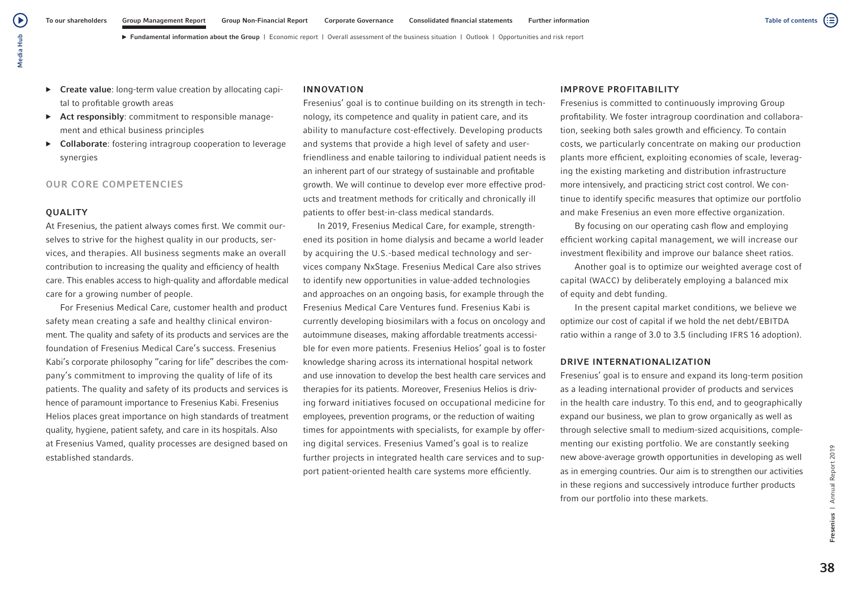► Fundamental information about the Group | Economic report | Overall assessment of the business situation | Outlook | Opportunities and risk report

- ▶ Create value: long-term value creation by allocating capital to profitable growth areas
- ▶ Act responsibly: commitment to responsible management and ethical business principles
- ▶ Collaborate: fostering intragroup cooperation to leverage synergies

# OUR CORE COMPETENCIES

# **OUALITY**

At Fresenius, the patient always comes first. We commit ourselves to strive for the highest quality in our products, services, and therapies. All business segments make an overall contribution to increasing the quality and efficiency of health care. This enables access to high-quality and affordable medical care for a growing number of people.

For Fresenius Medical Care, customer health and product safety mean creating a safe and healthy clinical environment. The quality and safety of its products and services are the foundation of Fresenius Medical Care's success. Fresenius Kabi's corporate philosophy "caring for life" describes the company's commitment to improving the quality of life of its patients. The quality and safety of its products and services is hence of paramount importance to Fresenius Kabi. Fresenius Helios places great importance on high standards of treatment quality, hygiene, patient safety, and care in its hospitals. Also at Fresenius Vamed, quality processes are designed based on established standards.

# INNOVATION

Fresenius' goal is to continue building on its strength in technology, its competence and quality in patient care, and its ability to manufacture cost-effectively. Developing products and systems that provide a high level of safety and userfriendliness and enable tailoring to individual patient needs is an inherent part of our strategy of sustainable and profitable growth. We will continue to develop ever more effective products and treatment methods for critically and chronically ill patients to offer best-in-class medical standards.

In 2019, Fresenius Medical Care, for example, strengthened its position in home dialysis and became a world leader by acquiring the U.S.-based medical technology and services company NxStage. Fresenius Medical Care also strives to identify new opportunities in value-added technologies and approaches on an ongoing basis, for example through the Fresenius Medical Care Ventures fund. Fresenius Kabi is currently developing biosimilars with a focus on oncology and autoimmune diseases, making affordable treatments accessible for even more patients. Fresenius Helios' goal is to foster knowledge sharing across its international hospital network and use innovation to develop the best health care services and therapies for its patients. Moreover, Fresenius Helios is driving forward initiatives focused on occupational medicine for employees, prevention programs, or the reduction of waiting times for appointments with specialists, for example by offering digital services. Fresenius Vamed's goal is to realize further projects in integrated health care services and to support patient-oriented health care systems more efficiently.

# IMPROVE PROFITABILITY

Fresenius is committed to continuously improving Group profitability. We foster intragroup coordination and collaboration, seeking both sales growth and efficiency. To contain costs, we particularly concentrate on making our production plants more efficient, exploiting economies of scale, leveraging the existing marketing and distribution infrastructure more intensively, and practicing strict cost control. We continue to identify specific measures that optimize our portfolio and make Fresenius an even more effective organization.

By focusing on our operating cash flow and employing efficient working capital management, we will increase our investment flexibility and improve our balance sheet ratios.

Another goal is to optimize our weighted average cost of capital (WACC) by deliberately employing a balanced mix of equity and debt funding.

In the present capital market conditions, we believe we optimize our cost of capital if we hold the net debt/EBITDA ratio within a range of 3.0 to 3.5 (including IFRS 16 adoption).

# DRIVE INTERNATIONALIZATION

Fresenius' goal is to ensure and expand its long-term position as a leading international provider of products and services in the health care industry. To this end, and to geographically expand our business, we plan to grow organically as well as through selective small to medium-sized acquisitions, complementing our existing portfolio. We are constantly seeking new above-average growth opportunities in developing as well as in emerging countries. Our aim is to strengthen our activities in these regions and successively introduce further products from our portfolio into these markets.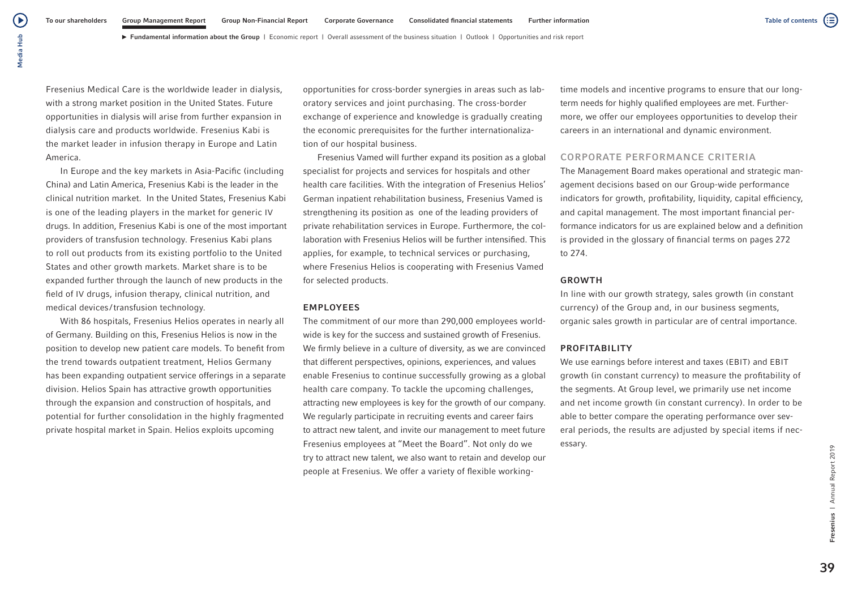► Fundamental information about the Group | Economic report | Overall assessment of the business situation | Outlook | Opportunities and risk report

Fresenius Medical Care is the worldwide leader in dialysis, with a strong market position in the United States. Future opportunities in dialysis will arise from further expansion in dialysis care and products worldwide. Fresenius Kabi is the market leader in infusion therapy in Europe and Latin America.

Media Hub

Media Hub

(▶

In Europe and the key markets in Asia-Pacific (including China) and Latin America, Fresenius Kabi is the leader in the clinical nutrition market. In the United States, Fresenius Kabi is one of the leading players in the market for generic IV drugs. In addition, Fresenius Kabi is one of the most important providers of transfusion technology. Fresenius Kabi plans to roll out products from its existing portfolio to the United States and other growth markets. Market share is to be expanded further through the launch of new products in the field of IV drugs, infusion therapy, clinical nutrition, and medical devices /transfusion technology.

With 86 hospitals, Fresenius Helios operates in nearly all of Germany. Building on this, Fresenius Helios is now in the position to develop new patient care models. To benefit from the trend towards outpatient treatment, Helios Germany has been expanding outpatient service offerings in a separate division. Helios Spain has attractive growth opportunities through the expansion and construction of hospitals, and potential for further consolidation in the highly fragmented private hospital market in Spain. Helios exploits upcoming

opportunities for cross-border synergies in areas such as laboratory services and joint purchasing. The cross-border exchange of experience and knowledge is gradually creating the economic prerequisites for the further internationalization of our hospital business.

Fresenius Vamed will further expand its position as a global specialist for projects and services for hospitals and other health care facilities. With the integration of Fresenius Helios' German inpatient rehabilitation business, Fresenius Vamed is strengthening its position as one of the leading providers of private rehabilitation services in Europe. Furthermore, the collaboration with Fresenius Helios will be further intensified. This applies, for example, to technical services or purchasing, where Fresenius Helios is cooperating with Fresenius Vamed for selected products.

#### EMPLOYEES

The commitment of our more than 290,000 employees worldwide is key for the success and sustained growth of Fresenius. We firmly believe in a culture of diversity, as we are convinced that different perspectives, opinions, experiences, and values enable Fresenius to continue successfully growing as a global health care company. To tackle the upcoming challenges, attracting new employees is key for the growth of our company. We regularly participate in recruiting events and career fairs to attract new talent, and invite our management to meet future Fresenius employees at "Meet the Board". Not only do we try to attract new talent, we also want to retain and develop our people at Fresenius. We offer a variety of flexible workingtime models and incentive programs to ensure that our longterm needs for highly qualified employees are met. Furthermore, we offer our employees opportunities to develop their careers in an international and dynamic environment.

# CORPORATE PERFORMANCE CRITERIA

The Management Board makes operational and strategic management decisions based on our Group-wide performance indicators for growth, profitability, liquidity, capital efficiency, and capital management. The most important financial performance indicators for us are explained below and a definition is provided in the glossary of financial terms on pages 272 to 274.

# GROWTH

In line with our growth strategy, sales growth (in constant currency) of the Group and, in our business segments, organic sales growth in particular are of central importance.

# PROFITABILITY

We use earnings before interest and taxes (EBIT) and EBIT growth (in constant currency) to measure the profitability of the segments. At Group level, we primarily use net income and net income growth (in constant currency). In order to be able to better compare the operating performance over several periods, the results are adjusted by special items if necessary.

39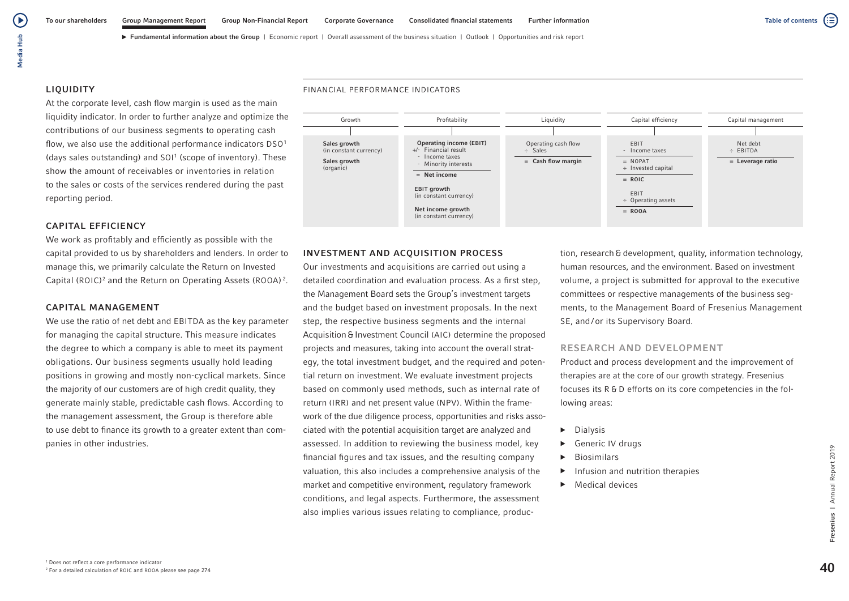#### LIQUIDITY

At the corporate level, cash flow margin is used as the main liquidity indicator. In order to further analyze and optimize the contributions of our business segments to operating cash flow, we also use the additional performance indicators DSO<sup>1</sup> (days sales outstanding) and SOI<sup>1</sup> (scope of inventory). These show the amount of receivables or inventories in relation to the sales or costs of the services rendered during the past reporting period.

# CAPITAL EFFICIENCY

We work as profitably and efficiently as possible with the capital provided to us by shareholders and lenders. In order to manage this, we primarily calculate the Return on Invested Capital (ROIC)<sup>2</sup> and the Return on Operating Assets (ROOA)<sup>2</sup>.

## CAPITAL MANAGEMENT

We use the ratio of net debt and EBITDA as the key parameter for managing the capital structure. This measure indicates the degree to which a company is able to meet its payment obligations. Our business segments usually hold leading positions in growing and mostly non-cyclical markets. Since the majority of our customers are of high credit quality, they generate mainly stable, predictable cash flows. According to the management assessment, the Group is therefore able to use debt to finance its growth to a greater extent than companies in other industries.

#### FINANCIAL PERFORMANCE INDICATORS



# INVESTMENT AND ACQUISITION PROCESS

Our investments and acquisitions are carried out using a detailed coordination and evaluation process. As a first step, the Management Board sets the Group's investment targets and the budget based on investment proposals. In the next step, the respective business segments and the internal Acquisition & Investment Council (AIC) determine the proposed projects and measures, taking into account the overall strategy, the total investment budget, and the required and potential return on investment. We evaluate investment projects based on commonly used methods, such as internal rate of return (IRR) and net present value (NPV). Within the framework of the due diligence process, opportunities and risks associated with the potential acquisition target are analyzed and assessed. In addition to reviewing the business model, key financial figures and tax issues, and the resulting company valuation, this also includes a comprehensive analysis of the market and competitive environment, regulatory framework conditions, and legal aspects. Furthermore, the assessment also implies various issues relating to compliance, production, research & development, quality, information technology, human resources, and the environment. Based on investment volume, a project is submitted for approval to the executive committees or respective managements of the business segments, to the Management Board of Fresenius Management SE, and/or its Supervisory Board.

# RESEARCH AND DEVELOPMENT

Product and process development and the improvement of therapies are at the core of our growth strategy. Fresenius focuses its R & D efforts on its core competencies in the following areas:

- ▶ Dialysis
- ▶ Generic IV drugs
- ▶ Biosimilars
- ▶ Infusion and nutrition therapies
- ▶ Medical devices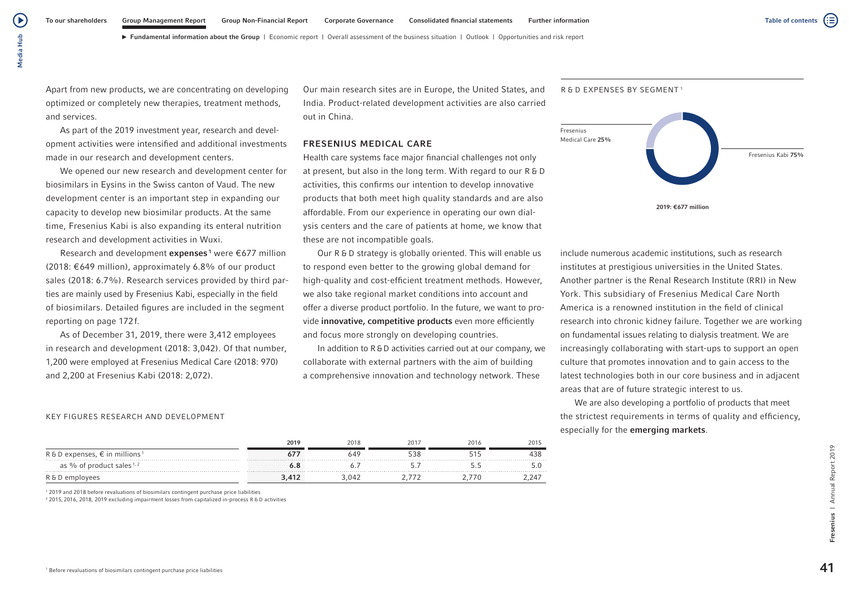́ ⊳

► Fundamental information about the Group | Economic report | Overall assessment of the business situation | Outlook | Opportunities and risk report

Apart from new products, we are concentrating on developing optimized or completely new therapies, treatment methods, and services.

As part of the 2019 investment year, research and development activities were intensified and additional investments made in our research and development centers.

We opened our new research and development center for biosimilars in Eysins in the Swiss canton of Vaud. The new development center is an important step in expanding our capacity to develop new biosimilar products. At the same time, Fresenius Kabi is also expanding its enteral nutrition research and development activities in Wuxi.

Research and development **expenses**<sup>1</sup> were  $\epsilon$ 677 million (2018: €649 million), approximately 6.8% of our product sales (2018: 6.7%). Research services provided by third parties are mainly used by Fresenius Kabi, especially in the field of biosimilars. Detailed figures are included in the segment reporting on page 172f.

As of December 31, 2019, there were 3,412 employees in research and development (2018: 3,042). Of that number, 1,200 were employed at Fresenius Medical Care (2018: 970) and 2,200 at Fresenius Kabi (2018: 2,072).

Our main research sites are in Europe, the United States, and India. Product-related development activities are also carried out in China.

# FRESENIUS MEDICAL CARE

Health care systems face major financial challenges not only at present, but also in the long term. With regard to our R & D activities, this confirms our intention to develop innovative products that both meet high quality standards and are also affordable. From our experience in operating our own dialysis centers and the care of patients at home, we know that these are not incompatible goals.

Our R & D strategy is globally oriented. This will enable us to respond even better to the growing global demand for high-quality and cost-efficient treatment methods. However, we also take regional market conditions into account and offer a diverse product portfolio. In the future, we want to provide innovative, competitive products even more efficiently and focus more strongly on developing countries.

In addition to R&D activities carried out at our company, we collaborate with external partners with the aim of building a comprehensive innovation and technology network. These



R & D EXPENSES BY SEGMENT<sup>1</sup>

include numerous academic institutions, such as research institutes at prestigious universities in the United States. Another partner is the Renal Research Institute (RRI) in New York. This subsidiary of Fresenius Medical Care North America is a renowned institution in the field of clinical research into chronic kidney failure. Together we are working on fundamental issues relating to dialysis treatment. We are increasingly collaborating with start-ups to support an open culture that promotes innovation and to gain access to the latest technologies both in our core business and in adjacent areas that are of future strategic interest to us.

We are also developing a portfolio of products that meet the strictest requirements in terms of quality and efficiency, especially for the emerging markets.

#### KEY FIGURES RESEARCH AND DEVELOPMENT

|                                                     | 2019        | 2018 | 2016 | 2015 |
|-----------------------------------------------------|-------------|------|------|------|
| R & D expenses, $\epsilon$ in millions <sup>1</sup> |             | 649  |      |      |
| as $\%$ of product sales $1, 2$                     |             |      |      |      |
| R & D employees                                     | $\lambda$ 1 | 04.  |      |      |

1 2019 and 2018 before revaluations of biosimilars contingent purchase price liabilities 2 2015, 2016, 2018, 2019 excluding impairment losses from capitalized in-process R & D activities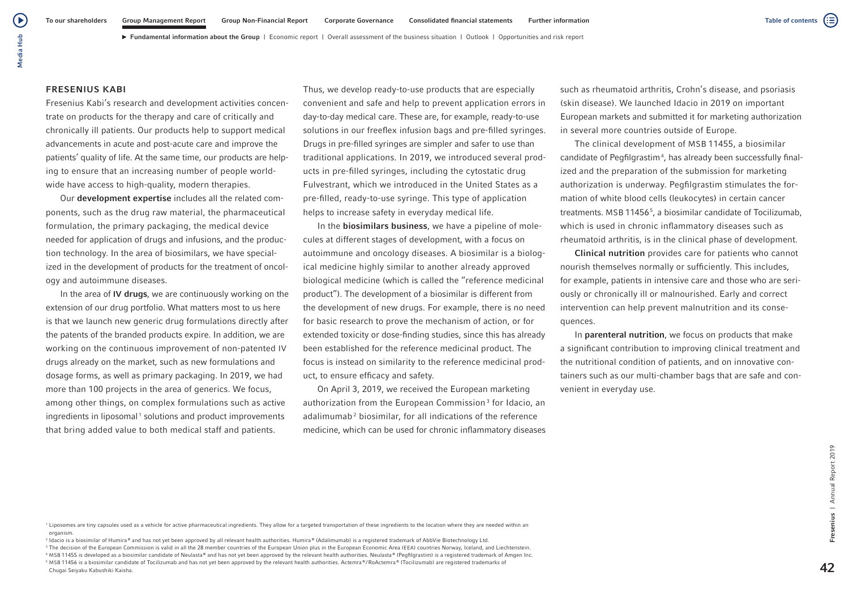#### FRESENIUS KABI

Fresenius Kabi's research and development activities concentrate on products for the therapy and care of critically and chronically ill patients. Our products help to support medical advancements in acute and post-acute care and improve the patients' quality of life. At the same time, our products are helping to ensure that an increasing number of people worldwide have access to high-quality, modern therapies.

Our development expertise includes all the related components, such as the drug raw material, the pharmaceutical formulation, the primary packaging, the medical device needed for application of drugs and infusions, and the production technology. In the area of biosimilars, we have specialized in the development of products for the treatment of oncology and autoimmune diseases.

In the area of IV drugs, we are continuously working on the extension of our drug portfolio. What matters most to us here is that we launch new generic drug formulations directly after the patents of the branded products expire. In addition, we are working on the continuous improvement of non-patented IV drugs already on the market, such as new formulations and dosage forms, as well as primary packaging. In 2019, we had more than 100 projects in the area of generics. We focus, among other things, on complex formulations such as active ingredients in liposomal<sup>1</sup> solutions and product improvements that bring added value to both medical staff and patients.

Thus, we develop ready-to-use products that are especially convenient and safe and help to prevent application errors in day-to-day medical care. These are, for example, ready-to-use solutions in our freeflex infusion bags and pre-filled syringes. Drugs in pre-filled syringes are simpler and safer to use than traditional applications. In 2019, we introduced several products in pre-filled syringes, including the cytostatic drug Fulvestrant, which we introduced in the United States as a pre-filled, ready-to-use syringe. This type of application helps to increase safety in everyday medical life.

In the **biosimilars business**, we have a pipeline of molecules at different stages of development, with a focus on autoimmune and oncology diseases. A biosimilar is a biological medicine highly similar to another already approved biological medicine (which is called the "reference medicinal product"). The development of a biosimilar is different from the development of new drugs. For example, there is no need for basic research to prove the mechanism of action, or for extended toxicity or dose-finding studies, since this has already been established for the reference medicinal product. The focus is instead on similarity to the reference medicinal product, to ensure efficacy and safety.

On April 3, 2019, we received the European marketing authorization from the European Commission<sup>3</sup> for Idacio, an adalimumab<sup>2</sup> biosimilar, for all indications of the reference medicine, which can be used for chronic inflammatory diseases

such as rheumatoid arthritis, Crohn's disease, and psoriasis (skin disease). We launched Idacio in 2019 on important European markets and submitted it for marketing authorization in several more countries outside of Europe.

The clinical development of MSB 11455, a biosimilar candidate of Pegfilgrastim<sup>4</sup>, has already been successfully finalized and the preparation of the submission for marketing authorization is underway. Pegfilgrastim stimulates the formation of white blood cells (leukocytes) in certain cancer treatments. MSB 114565 , a biosimilar candidate of Tocilizumab, which is used in chronic inflammatory diseases such as rheumatoid arthritis, is in the clinical phase of development.

Clinical nutrition provides care for patients who cannot nourish themselves normally or sufficiently. This includes, for example, patients in intensive care and those who are seriously or chronically ill or malnourished. Early and correct intervention can help prevent malnutrition and its consequences.

In parenteral nutrition, we focus on products that make a significant contribution to improving clinical treatment and the nutritional condition of patients, and on innovative containers such as our multi-chamber bags that are safe and convenient in everyday use.

<sup>1</sup> Liposomes are tiny capsules used as a vehicle for active pharmaceutical ingredients. They allow for a targeted transportation of these ingredients to the location where they are needed within an organism.

<sup>2</sup> Idacio is a biosimilar of Humira® and has not yet been approved by all relevant health authorities. Humira® (Adalimumab) is a registered trademark of AbbVie Biotechnology Ltd. <sup>3</sup> The decision of the European Commission is valid in all the 28 member countries of the European Union plus in the European Economic Area (EEA) countries Norway, Iceland, and Liechtenstein. <sup>4</sup> MSB 11455 is developed as a biosimilar candidate of Neulasta® and has not yet been approved by the relevant health authorities. Neulasta® (Pegfilgrastim) is a registered trademark of Amgen Inc. <sup>5</sup> MSB 11456 is a biosimilar candidate of Tocilizumab and has not yet been approved by the relevant health authorities. Actemra ® / RoActemra ® (Tocilizumab) are registered trademarks of Chugai Seiyaku Kabushiki Kaisha.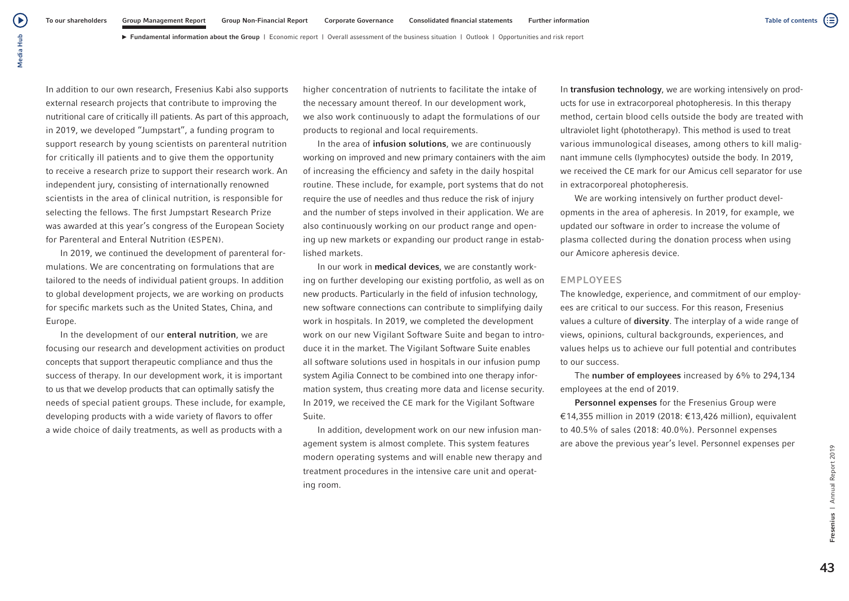► Fundamental information about the Group | Economic report | Overall assessment of the business situation | Outlook | Opportunities and risk report

In addition to our own research, Fresenius Kabi also supports external research projects that contribute to improving the nutritional care of critically ill patients. As part of this approach, in 2019, we developed "Jumpstart", a funding program to support research by young scientists on parenteral nutrition for critically ill patients and to give them the opportunity to receive a research prize to support their research work. An independent jury, consisting of internationally renowned scientists in the area of clinical nutrition, is responsible for selecting the fellows. The first Jumpstart Research Prize was awarded at this year's congress of the European Society for Parenteral and Enteral Nutrition (ESPEN).

In 2019, we continued the development of parenteral formulations. We are concentrating on formulations that are tailored to the needs of individual patient groups. In addition to global development projects, we are working on products for specific markets such as the United States, China, and Europe.

In the development of our **enteral nutrition**, we are focusing our research and development activities on product concepts that support therapeutic compliance and thus the success of therapy. In our development work, it is important to us that we develop products that can optimally satisfy the needs of special patient groups. These include, for example, developing products with a wide variety of flavors to offer a wide choice of daily treatments, as well as products with a

higher concentration of nutrients to facilitate the intake of the necessary amount thereof. In our development work, we also work continuously to adapt the formulations of our products to regional and local requirements.

In the area of **infusion solutions**, we are continuously working on improved and new primary containers with the aim of increasing the efficiency and safety in the daily hospital routine. These include, for example, port systems that do not require the use of needles and thus reduce the risk of injury and the number of steps involved in their application. We are also continuously working on our product range and opening up new markets or expanding our product range in established markets.

In our work in medical devices, we are constantly working on further developing our existing portfolio, as well as on new products. Particularly in the field of infusion technology, new software connections can contribute to simplifying daily work in hospitals. In 2019, we completed the development work on our new Vigilant Software Suite and began to introduce it in the market. The Vigilant Software Suite enables all software solutions used in hospitals in our infusion pump system Agilia Connect to be combined into one therapy information system, thus creating more data and license security. In 2019, we received the CE mark for the Vigilant Software Suite.

In addition, development work on our new infusion management system is almost complete. This system features modern operating systems and will enable new therapy and treatment procedures in the intensive care unit and operating room.

In transfusion technology, we are working intensively on products for use in extracorporeal photopheresis. In this therapy method, certain blood cells outside the body are treated with ultraviolet light (phototherapy). This method is used to treat various immunological diseases, among others to kill malignant immune cells (lymphocytes) outside the body. In 2019, we received the CE mark for our Amicus cell separator for use in extracorporeal photopheresis.

We are working intensively on further product developments in the area of apheresis. In 2019, for example, we updated our software in order to increase the volume of plasma collected during the donation process when using our Amicore apheresis device.

## EMPLOYEES

The knowledge, experience, and commitment of our employees are critical to our success. For this reason, Fresenius values a culture of **diversity**. The interplay of a wide range of views, opinions, cultural backgrounds, experiences, and values helps us to achieve our full potential and contributes to our success.

The number of employees increased by 6% to 294,134 employees at the end of 2019.

Personnel expenses for the Fresenius Group were €14,355 million in 2019 (2018: €13,426 million), equivalent to 40.5% of sales (2018: 40.0%). Personnel expenses are above the previous year's level. Personnel expenses per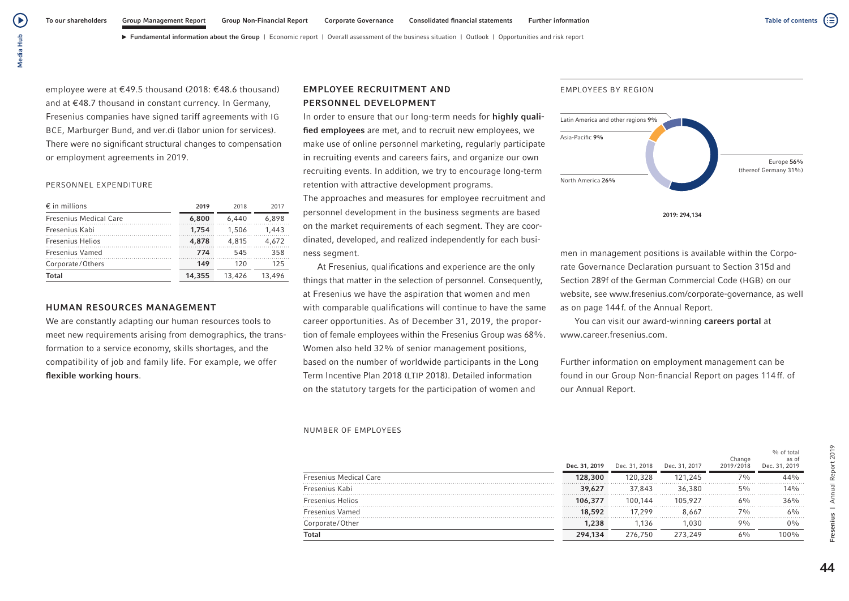Media Hub Media Hub

́ ⊳

employee were at €49.5 thousand (2018: €48.6 thousand) and at €48.7 thousand in constant currency. In Germany, Fresenius companies have signed tariff agreements with IG BCE, Marburger Bund, and ver.di (labor union for services). There were no significant structural changes to compensation or employment agreements in 2019.

#### PERSONNEL EXPENDITURE

| $\epsilon$ in millions        | 2019   | 2018   | 2017   |
|-------------------------------|--------|--------|--------|
| <b>Fresenius Medical Care</b> | 6,800  | 6.440  | 6.898  |
| Fresenius Kabi                | 1.754  | 1.506  | 1.443  |
| <b>Fresenius Helios</b>       | 4,878  | 4.815  | 4.672  |
| Fresenius Vamed               | 774    | 545    | 358    |
| Corporate/Others              | 149    | 120    | 125    |
| Total                         | 14,355 | 13,426 | 13,496 |

# HUMAN RESOURCES MANAGEMENT

We are constantly adapting our human resources tools to meet new requirements arising from demographics, the transformation to a service economy, skills shortages, and the compatibility of job and family life. For example, we offer flexible working hours.

# EMPLOYEE RECRUITMENT AND PERSONNEL DEVELOPMENT

In order to ensure that our long-term needs for highly qualified employees are met, and to recruit new employees, we make use of online personnel marketing, regularly participate in recruiting events and careers fairs, and organize our own recruiting events. In addition, we try to encourage long-term retention with attractive development programs.

The approaches and measures for employee recruitment and personnel development in the business segments are based on the market requirements of each segment. They are coordinated, developed, and realized independently for each business segment.

At Fresenius, qualifications and experience are the only things that matter in the selection of personnel. Consequently, at Fresenius we have the aspiration that women and men with comparable qualifications will continue to have the same career opportunities. As of December 31, 2019, the proportion of female employees within the Fresenius Group was 68%. Women also held 32% of senior management positions, based on the number of worldwide participants in the Long Term Incentive Plan 2018 (LTIP 2018). Detailed information on the statutory targets for the participation of women and

#### NUMBER OF EMPLOYEES

#### Dec. 31, 2019 Dec. 31, 2018 Dec. 31, 2017 Change 2019/2018 % of total as of Dec. 31, 2019 Fresenius Medical Care 128,300 120,328 121,245 7% 44% Fresenius Kabi 39,627 37,843 36,380 5% 14% Fresenius Helios 106,377 100,144 105,927 6% 36% Fresenius Vamed 18,592 17,299 8,667 7% 6% Corporate/Other 1,238 1,136 1,030 9% 0%  $\bf{Total} \hspace{1.5cm} 294,134$   $276,750$   $273,249$   $6\%$   $100\%$

# EMPLOYEES BY REGION



2019: 294,134

men in management positions is available within the Corporate Governance Declaration pursuant to Section 315d and Section 289f of the German Commercial Code (HGB) on our website, see www.fresenius.com/corporate-governance, as well as on page 144f. of the Annual Report.

You can visit our award-winning careers portal at www.career.fresenius.com.

Further information on employment management can be found in our Group Non-financial Report on pages 114ff. of our Annual Report.